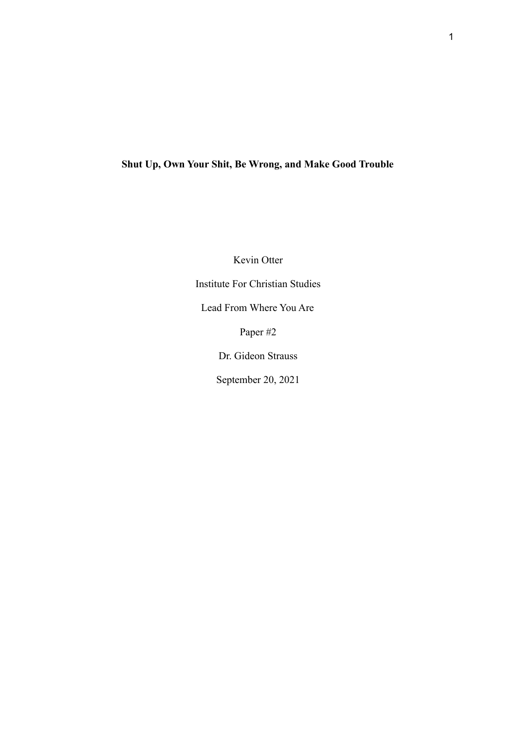## **Shut Up, Own Your Shit, Be Wrong, and Make Good Trouble**

Kevin Otter Institute For Christian Studies Lead From Where You Are Paper #2 Dr. Gideon Strauss September 20, 2021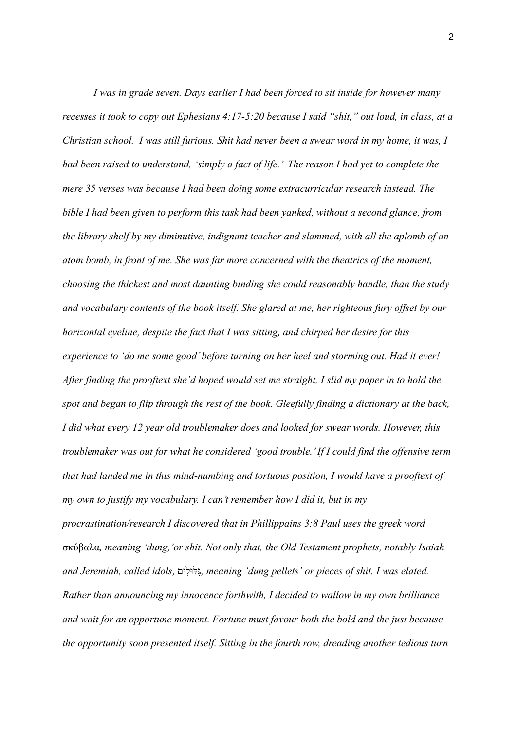*I was in grade seven. Days earlier I had been forced to sit inside for however many recesses it took to copy out Ephesians 4:17-5:20 because I said "shit," out loud, in class, at a Christian school. I was still furious. Shit had never been a swear word in my home, it was, I had been raised to understand, 'simply a fact of life.' The reason I had yet to complete the mere 35 verses was because I had been doing some extracurricular research instead. The bible I had been given to perform this task had been yanked, without a second glance, from the library shelf by my diminutive, indignant teacher and slammed, with all the aplomb of an atom bomb, in front of me. She was far more concerned with the theatrics of the moment, choosing the thickest and most daunting binding she could reasonably handle, than the study and vocabulary contents of the book itself. She glared at me, her righteous fury offset by our horizontal eyeline, despite the fact that I was sitting, and chirped her desire for this experience to 'do me some good' before turning on her heel and storming out. Had it ever! After finding the prooftext she'd hoped would set me straight, I slid my paper in to hold the spot and began to flip through the rest of the book. Gleefully finding a dictionary at the back, I did what every 12 year old troublemaker does and looked for swear words. However, this troublemaker was out for what he considered 'good trouble.' If I could find the offensive term that had landed me in this mind-numbing and tortuous position, I would have a prooftext of my own to justify my vocabulary. I can't remember how I did it, but in my procrastination/research I discovered that in Phillippains 3:8 Paul uses the greek word* σκύβαλα*, meaning 'dung,'or shit. Not only that, the Old Testament prophets, notably Isaiah and Jeremiah, called idols,* ליםִ וּלּגִּ *, meaning 'dung pellets' or pieces of shit. I was elated. Rather than announcing my innocence forthwith, I decided to wallow in my own brilliance and wait for an opportune moment. Fortune must favour both the bold and the just because the opportunity soon presented itself. Sitting in the fourth row, dreading another tedious turn*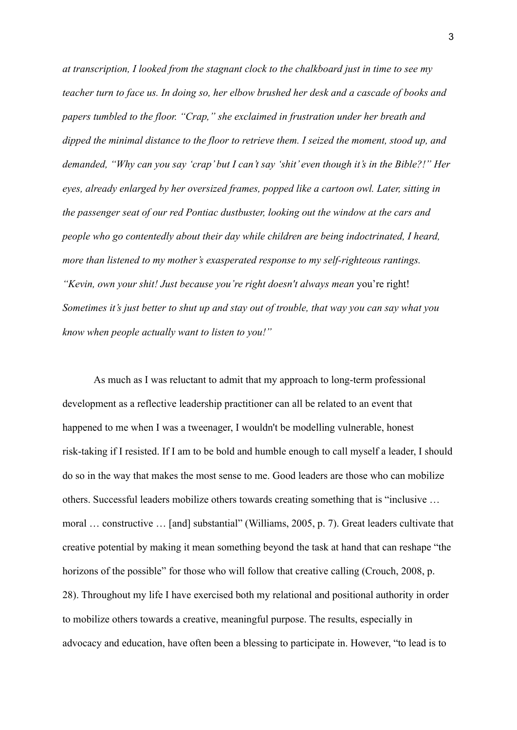*at transcription, I looked from the stagnant clock to the chalkboard just in time to see my teacher turn to face us. In doing so, her elbow brushed her desk and a cascade of books and papers tumbled to the floor. "Crap," she exclaimed in frustration under her breath and dipped the minimal distance to the floor to retrieve them. I seized the moment, stood up, and demanded, "Why can you say 'crap' but I can't say 'shit' even though it's in the Bible?!" Her eyes, already enlarged by her oversized frames, popped like a cartoon owl. Later, sitting in the passenger seat of our red Pontiac dustbuster, looking out the window at the cars and people who go contentedly about their day while children are being indoctrinated, I heard, more than listened to my mother's exasperated response to my self-righteous rantings. "Kevin, own your shit! Just because you're right doesn't always mean* you're right! *Sometimes it's just better to shut up and stay out of trouble, that way you can say what you know when people actually want to listen to you!"*

As much as I was reluctant to admit that my approach to long-term professional development as a reflective leadership practitioner can all be related to an event that happened to me when I was a tweenager, I wouldn't be modelling vulnerable, honest risk-taking if I resisted. If I am to be bold and humble enough to call myself a leader, I should do so in the way that makes the most sense to me. Good leaders are those who can mobilize others. Successful leaders mobilize others towards creating something that is "inclusive … moral … constructive … [and] substantial" [\(Williams,](https://www.zotero.org/google-docs/?h9W0js) 2005, p. 7). Great leaders cultivate that creative potential by making it mean something beyond the task at hand that can reshape "the horizons of the possible" for those who will follow that creative calling [\(Crouch, 2008, p.](https://www.zotero.org/google-docs/?7TZaD3) [28\).](https://www.zotero.org/google-docs/?7TZaD3) Throughout my life I have exercised both my relational and positional authority in order to mobilize others towards a creative, meaningful purpose. The results, especially in advocacy and education, have often been a blessing to participate in. However, "to lead is to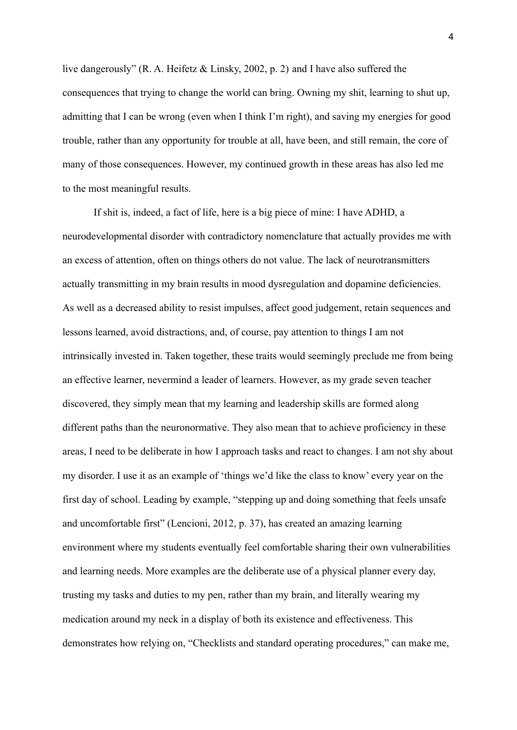live dangerously" [\(R. A. Heifetz & Linsky, 2002, p. 2\)](https://www.zotero.org/google-docs/?SW0nKG) and I have also suffered the consequences that trying to change the world can bring. Owning my shit, learning to shut up, admitting that I can be wrong (even when I think I'm right), and saving my energies for good trouble, rather than any opportunity for trouble at all, have been, and still remain, the core of many of those consequences. However, my continued growth in these areas has also led me to the most meaningful results.

If shit is, indeed, a fact of life, here is a big piece of mine: I have ADHD, a neurodevelopmental disorder with contradictory nomenclature that actually provides me with an excess of attention, often on things others do not value. The lack of neurotransmitters actually transmitting in my brain results in mood dysregulation and dopamine deficiencies. As well as a decreased ability to resist impulses, affect good judgement, retain sequences and lessons learned, avoid distractions, and, of course, pay attention to things I am not intrinsically invested in. Taken together, these traits would seemingly preclude me from being an effective learner, nevermind a leader of learners. However, as my grade seven teacher discovered, they simply mean that my learning and leadership skills are formed along different paths than the neuronormative. They also mean that to achieve proficiency in these areas, I need to be deliberate in how I approach tasks and react to changes. I am not shy about my disorder. I use it as an example of 'things we'd like the class to know' every year on the first day of school. Leading by example, "stepping up and doing something that feels unsafe and uncomfortable first" (Lencioni, 2012, p. 37), has created an amazing learning environment where my students eventually feel comfortable sharing their own vulnerabilities and learning needs. More examples are the deliberate use of a physical planner every day, trusting my tasks and duties to my pen, rather than my brain, and literally wearing my medication around my neck in a display of both its existence and effectiveness. This demonstrates how relying on, "Checklists and standard operating procedures," can make me,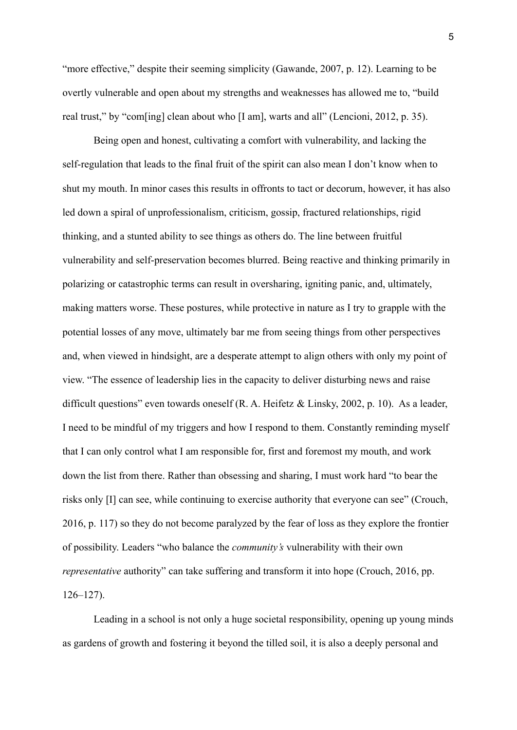"more effective," despite their seeming simplicity (Gawande, 2007, p. 12). Learning to be overtly vulnerable and open about my strengths and weaknesses has allowed me to, "build real trust," by "com[ing] clean about who [I am], warts and all" (Lencioni, 2012, p. 35).

Being open and honest, cultivating a comfort with vulnerability, and lacking the self-regulation that leads to the final fruit of the spirit can also mean I don't know when to shut my mouth. In minor cases this results in offronts to tact or decorum, however, it has also led down a spiral of unprofessionalism, criticism, gossip, fractured relationships, rigid thinking, and a stunted ability to see things as others do. The line between fruitful vulnerability and self-preservation becomes blurred. Being reactive and thinking primarily in polarizing or catastrophic terms can result in oversharing, igniting panic, and, ultimately, making matters worse. These postures, while protective in nature as I try to grapple with the potential losses of any move, ultimately bar me from seeing things from other perspectives and, when viewed in hindsight, are a desperate attempt to align others with only my point of view. "The essence of leadership lies in the capacity to deliver disturbing news and raise difficult questions" even towards oneself (R. A. Heifetz [& Linsky, 2002, p. 10\)](https://www.zotero.org/google-docs/?uuYYu8). As a leader, I need to be mindful of my triggers and how I respond to them. Constantly reminding myself that I can only control what I am responsible for, first and foremost my mouth, and work down the list from there. Rather than obsessing and sharing, I must work hard "to bear the risks only [I] can see, while continuing to exercise authority that everyone can see" [\(Crouch,](https://www.zotero.org/google-docs/?uDWoBa) [2016, p. 117\)](https://www.zotero.org/google-docs/?uDWoBa) so they do not become paralyzed by the fear of loss as they explore the frontier of possibility. Leaders "who balance the *community's* vulnerability with their own *representative* authority" can take suffering and transform it into hope [\(Crouch, 2016, pp.](https://www.zotero.org/google-docs/?FHXXQ4) [126–127\).](https://www.zotero.org/google-docs/?FHXXQ4)

Leading in a school is not only a huge societal responsibility, opening up young minds as gardens of growth and fostering it beyond the tilled soil, it is also a deeply personal and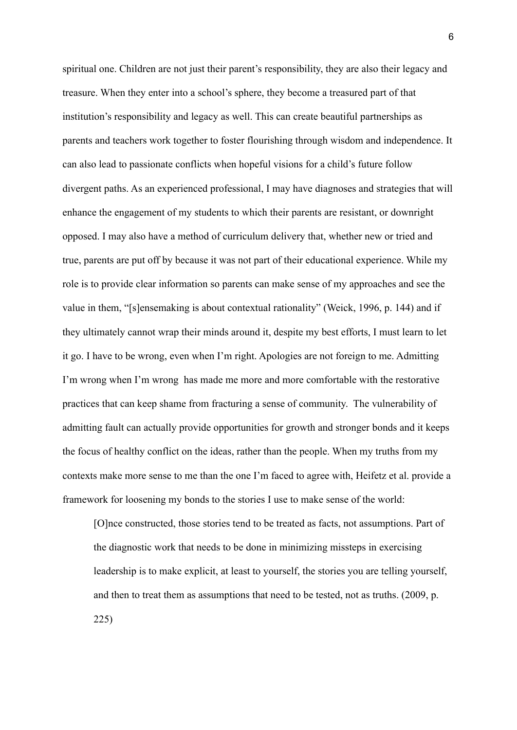spiritual one. Children are not just their parent's responsibility, they are also their legacy and treasure. When they enter into a school's sphere, they become a treasured part of that institution's responsibility and legacy as well. This can create beautiful partnerships as parents and teachers work together to foster flourishing through wisdom and independence. It can also lead to passionate conflicts when hopeful visions for a child's future follow divergent paths. As an experienced professional, I may have diagnoses and strategies that will enhance the engagement of my students to which their parents are resistant, or downright opposed. I may also have a method of curriculum delivery that, whether new or tried and true, parents are put off by because it was not part of their educational experience. While my role is to provide clear information so parents can make sense of my approaches and see the value in them, "[s]ensemaking is about contextual rationality" [\(Weick, 1996, p. 144\)](https://www.zotero.org/google-docs/?hqyNba) and if they ultimately cannot wrap their minds around it, despite my best efforts, I must learn to let it go. I have to be wrong, even when I'm right. Apologies are not foreign to me. Admitting I'm wrong when I'm wrong has made me more and more comfortable with the restorative practices that can keep shame from fracturing a sense of community. The vulnerability of admitting fault can actually provide opportunities for growth and stronger bonds and it keeps the focus of healthy conflict on the ideas, rather than the people. When my truths from my contexts make more sense to me than the one I'm faced to agree with, Heifetz et al. provide a framework for loosening my bonds to the stories I use to make sense of the world:

[O]nce constructed, those stories tend to be treated as facts, not assumptions. Part of the diagnostic work that needs to be done in minimizing missteps in exercising leadership is to make explicit, at least to yourself, the stories you are telling yourself, and then to treat them as assumptions that need to be tested, not as truths. [\(2009, p.](https://www.zotero.org/google-docs/?DyOO9u) [225\)](https://www.zotero.org/google-docs/?DyOO9u)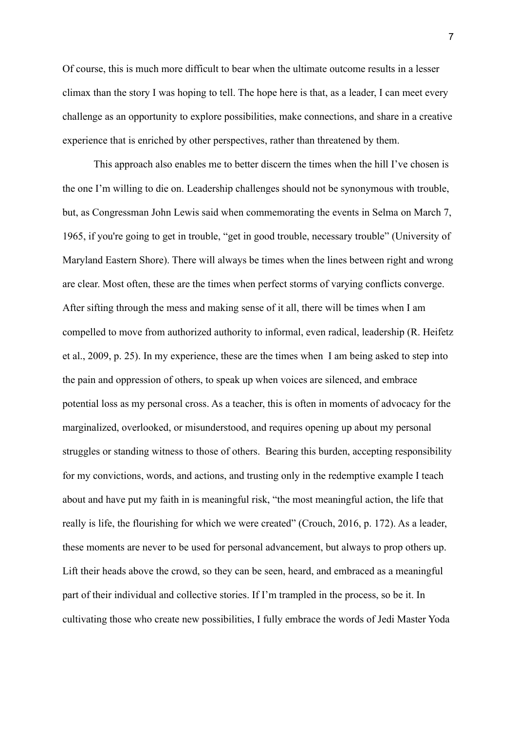Of course, this is much more difficult to bear when the ultimate outcome results in a lesser climax than the story I was hoping to tell. The hope here is that, as a leader, I can meet every challenge as an opportunity to explore possibilities, make connections, and share in a creative experience that is enriched by other perspectives, rather than threatened by them.

This approach also enables me to better discern the times when the hill I've chosen is the one I'm willing to die on. Leadership challenges should not be synonymous with trouble, but, as Congressman John Lewis said when commemorating the events in Selma on March 7, 1965, if you're going to get in trouble, "get in good trouble, necessary trouble" (University of Maryland Eastern Shore). There will always be times when the lines between right and wrong are clear. Most often, these are the times when perfect storms of varying conflicts converge. After sifting through the mess and making sense of it all, there will be times when I am compelled to move from authorized authority to informal, even radical, leadership [\(R. Heifetz](https://www.zotero.org/google-docs/?smq2D6) [et al., 2009, p. 25\)](https://www.zotero.org/google-docs/?smq2D6). In my experience, these are the times when I am being asked to step into the pain and oppression of others, to speak up when voices are silenced, and embrace potential loss as my personal cross. As a teacher, this is often in moments of advocacy for the marginalized, overlooked, or misunderstood, and requires opening up about my personal struggles or standing witness to those of others. Bearing this burden, accepting responsibility for my convictions, words, and actions, and trusting only in the redemptive example I teach about and have put my faith in is meaningful risk, "the most meaningful action, the life that really is life, the flourishing for which we were created" [\(Crouch, 2016, p. 172\).](https://www.zotero.org/google-docs/?vEsUUZ) As a leader, these moments are never to be used for personal advancement, but always to prop others up. Lift their heads above the crowd, so they can be seen, heard, and embraced as a meaningful part of their individual and collective stories. If I'm trampled in the process, so be it. In cultivating those who create new possibilities, I fully embrace the words of Jedi Master Yoda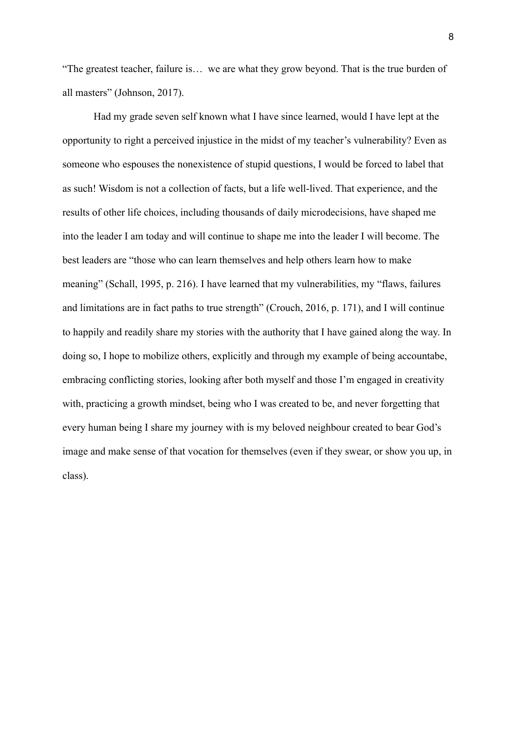"The greatest teacher, failure is… we are what they grow beyond. That is the true burden of all masters" (Johnson, 2017).

Had my grade seven self known what I have since learned, would I have lept at the opportunity to right a perceived injustice in the midst of my teacher's vulnerability? Even as someone who espouses the nonexistence of stupid questions, I would be forced to label that as such! Wisdom is not a collection of facts, but a life well-lived. That experience, and the results of other life choices, including thousands of daily microdecisions, have shaped me into the leader I am today and will continue to shape me into the leader I will become. The best leaders are "those who can learn themselves and help others learn how to make meaning" [\(Schall, 1995, p. 216\).](https://www.zotero.org/google-docs/?RIflNK) I have learned that my vulnerabilities, my "flaws, failures and limitations are in fact paths to true strength" [\(Crouch, 2016, p. 171\)](https://www.zotero.org/google-docs/?59Dxjx), and I will continue to happily and readily share my stories with the authority that I have gained along the way. In doing so, I hope to mobilize others, explicitly and through my example of being accountabe, embracing conflicting stories, looking after both myself and those I'm engaged in creativity with, practicing a growth mindset, being who I was created to be, and never forgetting that every human being I share my journey with is my beloved neighbour created to bear God's image and make sense of that vocation for themselves (even if they swear, or show you up, in class).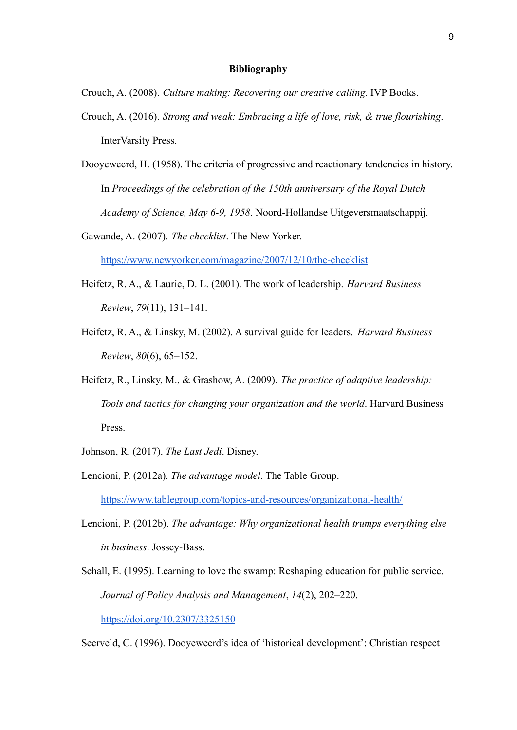## **Bibliography**

Crouch, A. (2008). *Culture making: Recovering our creative calling*. IVP Books.

- Crouch, A. (2016). *Strong and weak: Embracing a life of love, risk, & true flourishing*. InterVarsity Press.
- Dooyeweerd, H. (1958). The criteria of progressive and reactionary tendencies in history. In *Proceedings of the celebration of the 150th anniversary of the Royal Dutch Academy of Science, May 6-9, 1958*. Noord-Hollandse Uitgeversmaatschappij.
- Gawande, A. (2007). *The checklist*. The New Yorker.

<https://www.newyorker.com/magazine/2007/12/10/the-checklist>

- Heifetz, R. A., & Laurie, D. L. (2001). The work of leadership. *Harvard Business Review*, *79*(11), 131–141.
- Heifetz, R. A., & Linsky, M. (2002). A survival guide for leaders. *Harvard Business Review*, *80*(6), 65–152.
- Heifetz, R., Linsky, M., & Grashow, A. (2009). *The practice of adaptive leadership: Tools and tactics for changing your organization and the world*. Harvard Business Press.
- Johnson, R. (2017). *The Last Jedi*. Disney.
- Lencioni, P. (2012a). *The advantage model*. The Table Group[.](https://www.tablegroup.com/topics-and-resources/organizational-health/) <https://www.tablegroup.com/topics-and-resources/organizational-health/>
- Lencioni, P. (2012b). *The advantage: Why organizational health trumps everything else in business*. Jossey-Bass.
- Schall, E. (1995). Learning to love the swamp: Reshaping education for public service. *Journal of Policy Analysis and Management*, *14*(2), 202–220. <https://doi.org/10.2307/3325150>

Seerveld, C. (1996). Dooyeweerd's idea of 'historical development': Christian respect